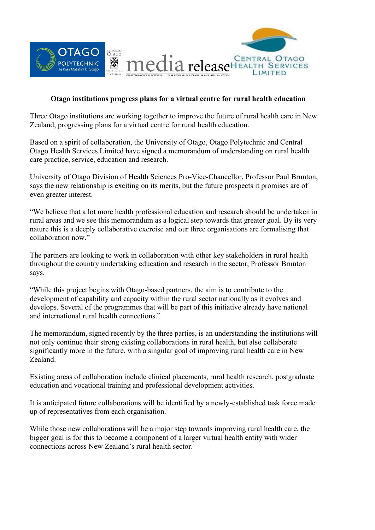

## **Otago institutions progress plans for a virtual centre for rural health education**

Three Otago institutions are working together to improve the future of rural health care in New Zealand, progressing plans for a virtual centre for rural health education.

Based on a spirit of collaboration, the University of Otago, Otago Polytechnic and Central Otago Health Services Limited have signed a memorandum of understanding on rural health care practice, service, education and research.

University of Otago Division of Health Sciences Pro-Vice-Chancellor, Professor Paul Brunton, says the new relationship is exciting on its merits, but the future prospects it promises are of even greater interest.

"We believe that a lot more health professional education and research should be undertaken in rural areas and we see this memorandum as a logical step towards that greater goal. By its very nature this is a deeply collaborative exercise and our three organisations are formalising that collaboration now."

The partners are looking to work in collaboration with other key stakeholders in rural health throughout the country undertaking education and research in the sector, Professor Brunton says.

"While this project begins with Otago-based partners, the aim is to contribute to the development of capability and capacity within the rural sector nationally as it evolves and develops. Several of the programmes that will be part of this initiative already have national and international rural health connections."

The memorandum, signed recently by the three parties, is an understanding the institutions will not only continue their strong existing collaborations in rural health, but also collaborate significantly more in the future, with a singular goal of improving rural health care in New Zealand.

Existing areas of collaboration include clinical placements, rural health research, postgraduate education and vocational training and professional development activities.

It is anticipated future collaborations will be identified by a newly-established task force made up of representatives from each organisation.

While those new collaborations will be a major step towards improving rural health care, the bigger goal is for this to become a component of a larger virtual health entity with wider connections across New Zealand's rural health sector.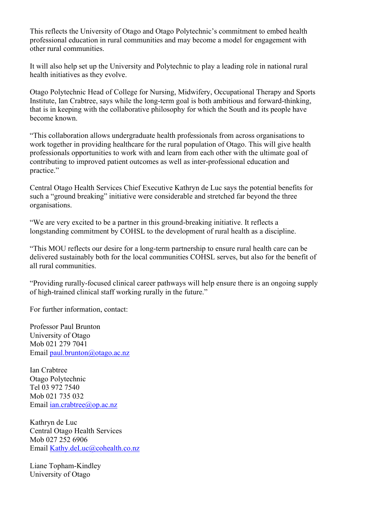This reflects the University of Otago and Otago Polytechnic's commitment to embed health professional education in rural communities and may become a model for engagement with other rural communities.

It will also help set up the University and Polytechnic to play a leading role in national rural health initiatives as they evolve.

Otago Polytechnic Head of College for Nursing, Midwifery, Occupational Therapy and Sports Institute, Ian Crabtree, says while the long-term goal is both ambitious and forward-thinking, that is in keeping with the collaborative philosophy for which the South and its people have become known.

"This collaboration allows undergraduate health professionals from across organisations to work together in providing healthcare for the rural population of Otago. This will give health professionals opportunities to work with and learn from each other with the ultimate goal of contributing to improved patient outcomes as well as inter-professional education and practice."

Central Otago Health Services Chief Executive Kathryn de Luc says the potential benefits for such a "ground breaking" initiative were considerable and stretched far beyond the three organisations.

"We are very excited to be a partner in this ground-breaking initiative. It reflects a longstanding commitment by COHSL to the development of rural health as a discipline.

"This MOU reflects our desire for a long-term partnership to ensure rural health care can be delivered sustainably both for the local communities COHSL serves, but also for the benefit of all rural communities.

"Providing rurally-focused clinical career pathways will help ensure there is an ongoing supply of high-trained clinical staff working rurally in the future."

For further information, contact:

Professor Paul Brunton University of Otago Mob 021 279 7041 Email [paul.brunton@otago.ac.nz](mailto:paul.brunton@otago.ac.nz)

Ian Crabtree Otago Polytechnic Tel 03 972 7540 Mob 021 735 032 Email [ian.crabtree@op.ac.nz](mailto:ian.crabtree@op.ac.nz)

Kathryn de Luc Central Otago Health Services Mob 027 252 6906 Email [Kathy.deLuc@cohealth.co.nz](mailto:Kathy.deLuc@cohealth.co.nz)

Liane Topham-Kindley University of Otago